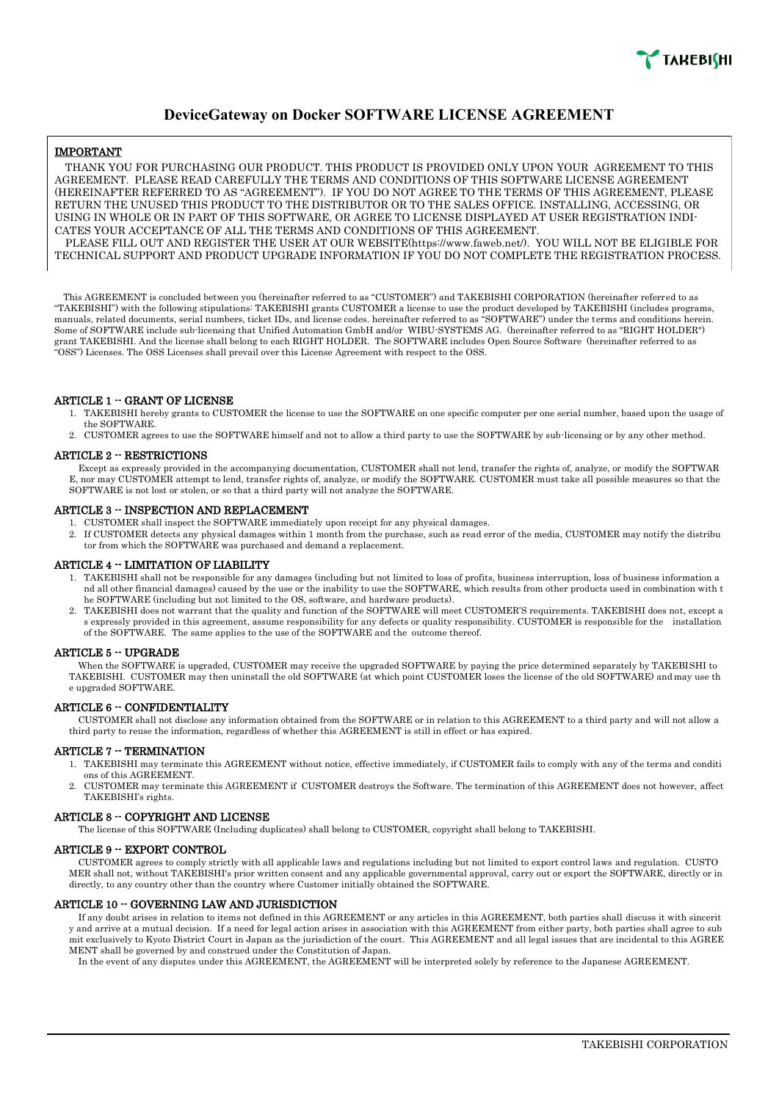

# **DeviceGateway on Docker SOFTWARE LICENSE AGREEMENT**

## IMPORTANT

THANK YOU FOR PURCHASING OUR PRODUCT. THIS PRODUCT IS PROVIDED ONLY UPON YOUR AGREEMENT TO THIS AGREEMENT. PLEASE READ CAREFULLY THE TERMS AND CONDITIONS OF THIS SOFTWARE LICENSE AGREEMENT (HEREINAFTER REFERRED TO AS "AGREEMENT"). IF YOU DO NOT AGREE TO THE TERMS OF THIS AGREEMENT, PLEASE RETURN THE UNUSED THIS PRODUCT TO THE DISTRIBUTOR OR TO THE SALES OFFICE. INSTALLING, ACCESSING, OR USING IN WHOLE OR IN PART OF THIS SOFTWARE, OR AGREE TO LICENSE DISPLAYED AT USER REGISTRATION INDI-CATES YOUR ACCEPTANCE OF ALL THE TERMS AND CONDITIONS OF THIS AGREEMENT.

PLEASE FILL OUT AND REGISTER THE USER AT OUR WEBSITE(https://www.faweb.net/). YOU WILL NOT BE ELIGIBLE FOR TECHNICAL SUPPORT AND PRODUCT UPGRADE INFORMATION IF YOU DO NOT COMPLETE THE REGISTRATION PROCESS.

This AGREEMENT is concluded between you (hereinafter referred to as "CUSTOMER") and TAKEBISHI CORPORATION (hereinafter referred to as "TAKEBISHI") with the following stipulations: TAKEBISHI grants CUSTOMER a license to use the product developed by TAKEBISHI (includes programs, manuals, related documents, serial numbers, ticket IDs, and license codes. hereinafter referred to as "SOFTWARE") under the terms and conditions herein. Some of SOFTWARE include sub-licensing that Unified Automation GmbH and/or WIBU-SYSTEMS AG. (hereinafter referred to as "RIGHT HOLDER") grant TAKEBISHI. And the license shall belong to each RIGHT HOLDER. The SOFTWARE includes Open Source Software (hereinafter referred to as "OSS") Licenses. The OSS Licenses shall prevail over this License Agreement with respect to the OSS.

## ARTICLE 1 -- GRANT OF LICENSE

- 1. TAKEBISHI hereby grants to CUSTOMER the license to use the SOFTWARE on one specific computer per one serial number, based upon the usage of the SOFTWARE.
- 2. CUSTOMER agrees to use the SOFTWARE himself and not to allow a third party to use the SOFTWARE by sub-licensing or by any other method.

#### ARTICLE 2 -- RESTRICTIONS

Except as expressly provided in the accompanying documentation, CUSTOMER shall not lend, transfer the rights of, analyze, or modify the SOFTWAR E, nor may CUSTOMER attempt to lend, transfer rights of, analyze, or modify the SOFTWARE. CUSTOMER must take all possible measures so that the SOFTWARE is not lost or stolen, or so that a third party will not analyze the SOFTWARE.

#### ARTICLE 3 -- INSPECTION AND REPLACEMENT

- 1. CUSTOMER shall inspect the SOFTWARE immediately upon receipt for any physical damages.
- 2. If CUSTOMER detects any physical damages within 1 month from the purchase, such as read error of the media, CUSTOMER may notify the distribu tor from which the SOFTWARE was purchased and demand a replacement.

#### ARTICLE 4 -- LIMITATION OF LIABILITY

- 1. TAKEBISHI shall not be responsible for any damages (including but not limited to loss of profits, business interruption, loss of business information a nd all other financial damages) caused by the use or the inability to use the SOFTWARE, which results from other products used in combination with t he SOFTWARE (including but not limited to the OS, software, and hardware products).
- 2. TAKEBISHI does not warrant that the quality and function of the SOFTWARE will meet CUSTOMER'S requirements. TAKEBISHI does not, except a s expressly provided in this agreement, assume responsibility for any defects or quality responsibility. CUSTOMER is responsible for the installation of the SOFTWARE. The same applies to the use of the SOFTWARE and the outcome thereof.

## ARTICLE 5 -- UPGRADE

When the SOFTWARE is upgraded, CUSTOMER may receive the upgraded SOFTWARE by paying the price determined separately by TAKEBISHI to TAKEBISHI. CUSTOMER may then uninstall the old SOFTWARE (at which point CUSTOMER loses the license of the old SOFTWARE) and may use th e upgraded SOFTWARE.

## ARTICLE 6 -- CONFIDENTIALITY

CUSTOMER shall not disclose any information obtained from the SOFTWARE or in relation to this AGREEMENT to a third party and will not allow a third party to reuse the information, regardless of whether this AGREEMENT is still in effect or has expired.

#### ARTICLE 7 -- TERMINATION

- 1. TAKEBISHI may terminate this AGREEMENT without notice, effective immediately, if CUSTOMER fails to comply with any of the terms and conditi ons of this AGREEMENT.
- 2. CUSTOMER may terminate this AGREEMENT if CUSTOMER destroys the Software. The termination of this AGREEMENT does not however, affect TAKEBISHI's rights.

## ARTICLE 8 -- COPYRIGHT AND LICENSE

The license of this SOFTWARE (Including duplicates) shall belong to CUSTOMER, copyright shall belong to TAKEBISHI.

## ARTICLE 9 -- EXPORT CONTROL

CUSTOMER agrees to comply strictly with all applicable laws and regulations including but not limited to export control laws and regulation. CUSTO MER shall not, without TAKEBISHI's prior written consent and any applicable governmental approval, carry out or export the SOFTWARE, directly or in directly, to any country other than the country where Customer initially obtained the SOFTWARE.

#### ARTICLE 10 -- GOVERNING LAW AND JURISDICTION

If any doubt arises in relation to items not defined in this AGREEMENT or any articles in this AGREEMENT, both parties shall discuss it with sincerit y and arrive at a mutual decision. If a need for legal action arises in association with this AGREEMENT from either party, both parties shall agree to sub mit exclusively to Kyoto District Court in Japan as the jurisdiction of the court. This AGREEMENT and all legal issues that are incidental to this AGREE MENT shall be governed by and construed under the Constitution of Japan.

In the event of any disputes under this AGREEMENT, the AGREEMENT will be interpreted solely by reference to the Japanese AGREEMENT.